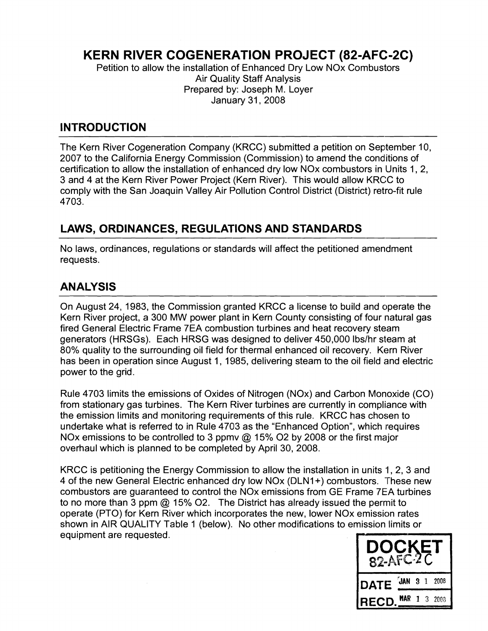# **KERN RIVER COGENERATION PROJECT (82-AFC-2C)**

Petition to allow the installation of Enhanced Dry Low NOx Combustors **Air Quality Staff Analysis** Prepared by: Joseph M. Loyer January 31,2008

### **INTRODUCTION**

The Kern River Cogeneration Company (KRCC) submitted a petition on September 10, 2007 to the California Energy Commission (Commission) to amend the conditions of certification to allow the installation of enhanced dry low NOx combustors in Units 1, 2, 3 and 4 at the Kern River Power Project (Kern River). This would allow KRCZ to comply with the San Joaquin Valley Air Pollution Control District (District) retro-fit rule 4703.

## **LAWS, ORDINANCES, REGULATIONS AND STANDARDS**

No laws, ordinances, regulations or standards will affect the petitioned amendment requests.

## **ANALYSIS**

On August 24, 1983, the Commission granted KRCC a license to build and operate the Kern River project, a 300 MW power plant in Kern County consisting of four natural gas fired General Electric Frame 7EA combustion turbines and heat recovery steam generators (HRSGs). Each HRSG was designed to deliver 450,000 Ibslhr steam at 80% quality to the surrounding oil field for thermal enhanced oil recovery. Kern River has been in operation since August 1, 1985, delivering steam to the oil field and electric power to the grid.

Rule 4703 limits the emissions of Oxides of Nitrogen (NOx) and Carbon Monoxide (CO) from stationary gas turbines. The Kern River turbines are currently in compliance with the emission limits and monitoring requirements of this rule. KRCC has chosen to undertake what is referred to in Rule 4703 as the "Enhanced Option", which requires NOx emissions to be controlled to 3 ppmy @ 15% O2 by 2008 or the first major overhaul which is planned to be completed by April 30, 2008.

KRCC is petitioning the Energy Commission to allow the installation in units 1, 2, 3 and 4 of the new General Electric enhanced dry low NOx (DLNI +) combustors. These new combustors are guaranteed to control the NOx emissions from GE Frame 7EA turbines to no more than 3 ppm @ 15% 02. The District has already issued the permit to operate (PTO) for Kern River which incorporates the new, lower NOx emission rates shown in AIR QUALITY Table 1 (below). No other modifications to emission limits or equipment are requested.

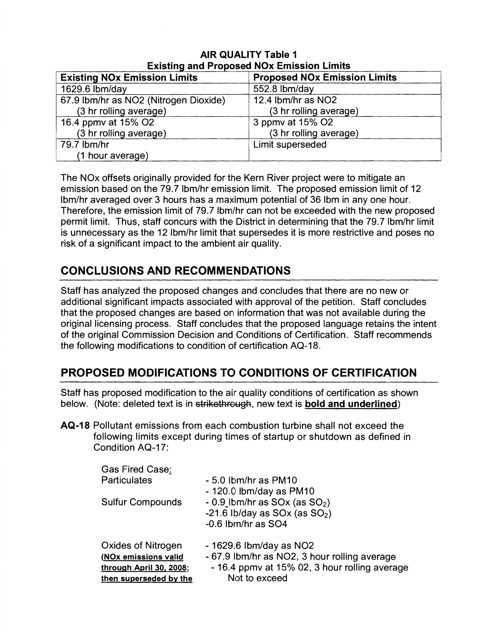| <b>LAISURG AND LIOPOSED ROA LIMBSION LIMINS</b> |                                     |  |
|-------------------------------------------------|-------------------------------------|--|
| <b>Existing NOx Emission Limits</b>             | <b>Proposed NOx Emission Limits</b> |  |
| 1629.6 lbm/day                                  | 552.8 lbm/day                       |  |
| 67.9 Ibm/hr as NO2 (Nitrogen Dioxide)           | 12.4 lbm/hr as NO2                  |  |
| (3 hr rolling average)                          | (3 hr rolling average)              |  |
| 16.4 ppmv at 15% O2                             | 3 ppmv at 15% O2                    |  |
| (3 hr rolling average)                          | (3 hr rolling average)              |  |
| 79.7 lbm/hr                                     | Limit superseded                    |  |
| (1 hour average)                                |                                     |  |

#### **AIR QUALITY Table I Existing and Proposed NOx Emission Limits**

The NO<sub>x</sub> offsets originally provided for the Kern River project were to mitigate an emission based on the 79.7 Ibm/hr emission limit. The proposed emission limit of 12 Ibm/hr averaged over 3 hours has a maximum potential of 36 Ibm in any one hour. Therefore, the emission limit of 79.7 lbm/hr can not be exceeded with the new proposed permit limit. Thus, staff concurs with the District in determining that the 79.7 Ibm/hr limit is unnecessary as the 12 Ibm/hr limit that supersedes it is more restrictive and poses no risk of a significant impact to the ambient air quality.

## **CONCLUSIONS AND RECOMMENDATIONS**

Staff has analyzed the proposed changes and concludes that there are no new or additional significant impacts associated with approval of the petition. Staff concludes that the proposed changes are based on information that was not available during the original licensing process. Staff concludes that the proposed language retains the intent of the original Commission Decision and Conditions of Certification. Staff recommends the following modifications to condition of certification AQ-18.

# **PROPOSED MODIFICATIONS TO CONDITIONS OF CERTIFICATION**

Staff has proposed modification to the air quality conditions of certification as; shown below. (Note: deleted text is in strikethrough, new text is **bold and underlined**)

**AQ-18** Pollutant emissions from each combustion turbine shall not exceed the following limits except during tinnes of startup or shutdown as defined in Condition AQ-17:

| - 67.9 lbm/hr as NO2, 3 hour rolling average  |
|-----------------------------------------------|
| - 16.4 ppmy at 15% 02, 3 hour rolling average |
|                                               |
|                                               |